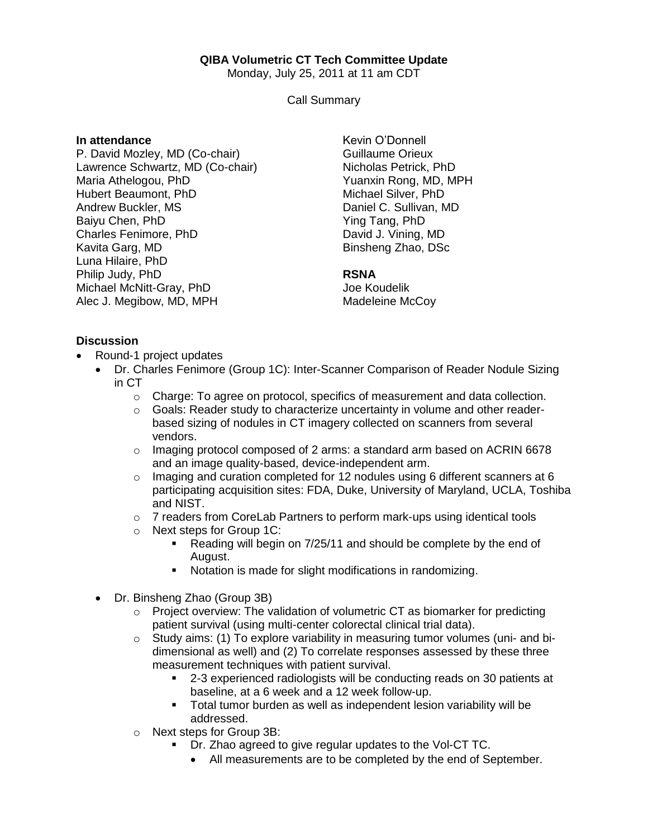# **QIBA Volumetric CT Tech Committee Update**

Monday, July 25, 2011 at 11 am CDT

Call Summary

### **In attendance**

P. David Mozley, MD (Co-chair) Lawrence Schwartz, MD (Co-chair) Maria Athelogou, PhD Hubert Beaumont, PhD Andrew Buckler, MS Baiyu Chen, PhD Charles Fenimore, PhD Kavita Garg, MD Luna Hilaire, PhD Philip Judy, PhD Michael McNitt-Gray, PhD Alec J. Megibow, MD, MPH

Kevin O'Donnell Guillaume Orieux Nicholas Petrick, PhD Yuanxin Rong, MD, MPH Michael Silver, PhD Daniel C. Sullivan, MD Ying Tang, PhD David J. Vining, MD Binsheng Zhao, DSc

# **RSNA**

Joe Koudelik Madeleine McCoy

# **Discussion**

- Round-1 project updates
	- Dr. Charles Fenimore (Group 1C): Inter-Scanner Comparison of Reader Nodule Sizing in CT
		- $\circ$  Charge: To agree on protocol, specifics of measurement and data collection.
		- $\circ$  Goals: Reader study to characterize uncertainty in volume and other readerbased sizing of nodules in CT imagery collected on scanners from several vendors.
		- $\circ$  Imaging protocol composed of 2 arms: a standard arm based on ACRIN 6678 and an image quality-based, device-independent arm.
		- $\circ$  Imaging and curation completed for 12 nodules using 6 different scanners at 6 participating acquisition sites: FDA, Duke, University of Maryland, UCLA, Toshiba and NIST.
		- $\circ$  7 readers from CoreLab Partners to perform mark-ups using identical tools
		- o Next steps for Group 1C:
			- Reading will begin on 7/25/11 and should be complete by the end of August.
			- Notation is made for slight modifications in randomizing.
	- Dr. Binsheng Zhao (Group 3B)
		- o Project overview: The validation of volumetric CT as biomarker for predicting patient survival (using multi-center colorectal clinical trial data).
		- $\circ$  Study aims: (1) To explore variability in measuring tumor volumes (uni- and bidimensional as well) and (2) To correlate responses assessed by these three measurement techniques with patient survival.
			- 2-3 experienced radiologists will be conducting reads on 30 patients at baseline, at a 6 week and a 12 week follow-up.
			- Total tumor burden as well as independent lesion variability will be addressed.
		- o Next steps for Group 3B:
			- Dr. Zhao agreed to give regular updates to the Vol-CT TC.
				- All measurements are to be completed by the end of September.